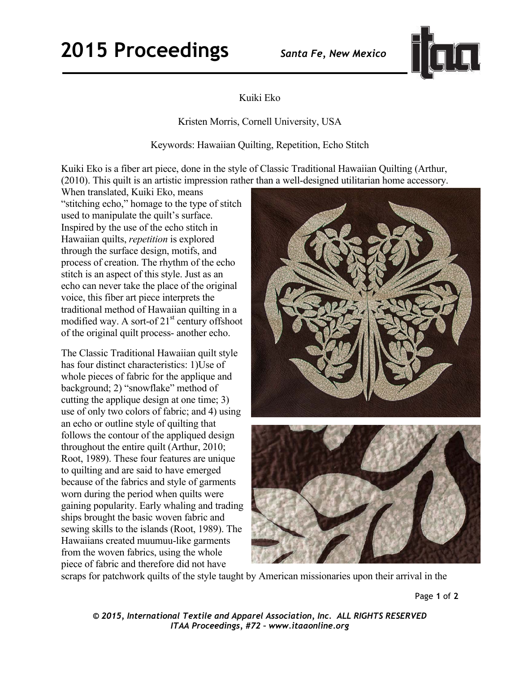## **2015 Proceedings** *Santa Fe, New Mexico*



## Kuiki Eko

Kristen Morris, Cornell University, USA

Keywords: Hawaiian Quilting, Repetition, Echo Stitch

Kuiki Eko is a fiber art piece, done in the style of Classic Traditional Hawaiian Quilting (Arthur, (2010). This quilt is an artistic impression rather than a well-designed utilitarian home accessory.

When translated, Kuiki Eko, means "stitching echo," homage to the type of stitch used to manipulate the quilt's surface. Inspired by the use of the echo stitch in Hawaiian quilts, *repetition* is explored through the surface design, motifs, and process of creation. The rhythm of the echo stitch is an aspect of this style. Just as an echo can never take the place of the original voice, this fiber art piece interprets the traditional method of Hawaiian quilting in a modified way. A sort-of 21<sup>st</sup> century offshoot of the original quilt process- another echo.

The Classic Traditional Hawaiian quilt style has four distinct characteristics: 1)Use of whole pieces of fabric for the applique and background; 2) "snowflake" method of cutting the applique design at one time; 3) use of only two colors of fabric; and 4) using an echo or outline style of quilting that follows the contour of the appliqued design throughout the entire quilt (Arthur, 2010; Root, 1989). These four features are unique to quilting and are said to have emerged because of the fabrics and style of garments worn during the period when quilts were gaining popularity. Early whaling and trading ships brought the basic woven fabric and sewing skills to the islands (Root, 1989). The Hawaiians created muumuu-like garments from the woven fabrics, using the whole piece of fabric and therefore did not have



scraps for patchwork quilts of the style taught by American missionaries upon their arrival in the

Page **1** of **2** 

*© 2015, International Textile and Apparel Association, Inc. ALL RIGHTS RESERVED ITAA Proceedings, #72 – www.itaaonline.org*